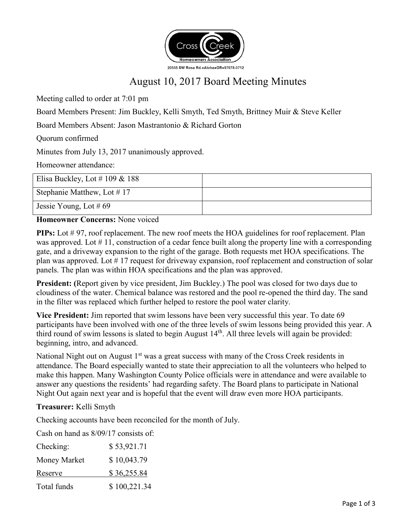

# August 10, 2017 Board Meeting Minutes

Meeting called to order at 7:01 pm

Board Members Present: Jim Buckley, Kelli Smyth, Ted Smyth, Brittney Muir & Steve Keller

Board Members Absent: Jason Mastrantonio & Richard Gorton

Quorum confirmed

Minutes from July 13, 2017 unanimously approved.

Homeowner attendance:

| Elisa Buckley, Lot # 109 & 188 |  |
|--------------------------------|--|
| Stephanie Matthew, Lot #17     |  |
| Jessie Young, Lot #69          |  |

#### **Homeowner Concerns:** None voiced

**PIPs:** Lot #97, roof replacement. The new roof meets the HOA guidelines for roof replacement. Plan was approved. Lot  $\# 11$ , construction of a cedar fence built along the property line with a corresponding gate, and a driveway expansion to the right of the garage. Both requests met HOA specifications. The plan was approved. Lot # 17 request for driveway expansion, roof replacement and construction of solar panels. The plan was within HOA specifications and the plan was approved.

**President: (**Report given by vice president, Jim Buckley.) The pool was closed for two days due to cloudiness of the water. Chemical balance was restored and the pool re-opened the third day. The sand in the filter was replaced which further helped to restore the pool water clarity.

**Vice President:** Jim reported that swim lessons have been very successful this year. To date 69 participants have been involved with one of the three levels of swim lessons being provided this year. A third round of swim lessons is slated to begin August  $14<sup>th</sup>$ . All three levels will again be provided: beginning, intro, and advanced.

National Night out on August 1<sup>st</sup> was a great success with many of the Cross Creek residents in attendance. The Board especially wanted to state their appreciation to all the volunteers who helped to make this happen. Many Washington County Police officials were in attendance and were available to answer any questions the residents' had regarding safety. The Board plans to participate in National Night Out again next year and is hopeful that the event will draw even more HOA participants.

### **Treasurer:** Kelli Smyth

Checking accounts have been reconciled for the month of July.

Cash on hand as 8/09/17 consists of:

| Checking:    | \$53,921.71  |
|--------------|--------------|
| Money Market | \$10,043.79  |
| Reserve      | \$36,255.84  |
| Total funds  | \$100,221.34 |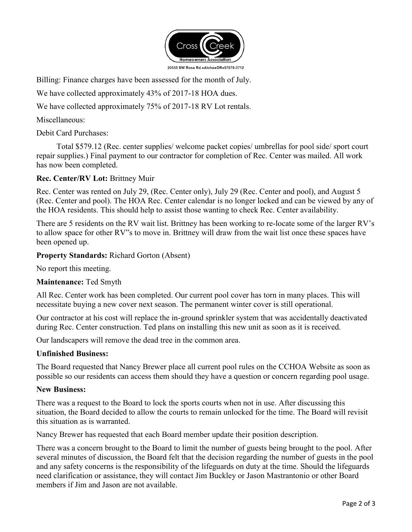

Billing: Finance charges have been assessed for the month of July.

We have collected approximately 43% of 2017-18 HOA dues.

We have collected approximately 75% of 2017-18 RV Lot rentals.

Miscellaneous:

Debit Card Purchases:

 Total \$579.12 (Rec. center supplies/ welcome packet copies/ umbrellas for pool side/ sport court repair supplies.) Final payment to our contractor for completion of Rec. Center was mailed. All work has now been completed.

#### **Rec. Center/RV Lot:** Brittney Muir

Rec. Center was rented on July 29, (Rec. Center only), July 29 (Rec. Center and pool), and August 5 (Rec. Center and pool). The HOA Rec. Center calendar is no longer locked and can be viewed by any of the HOA residents. This should help to assist those wanting to check Rec. Center availability.

There are 5 residents on the RV wait list. Brittney has been working to re-locate some of the larger RV's to allow space for other RV"s to move in. Brittney will draw from the wait list once these spaces have been opened up.

#### **Property Standards:** Richard Gorton (Absent)

No report this meeting.

#### **Maintenance:** Ted Smyth

All Rec. Center work has been completed. Our current pool cover has torn in many places. This will necessitate buying a new cover next season. The permanent winter cover is still operational.

Our contractor at his cost will replace the in-ground sprinkler system that was accidentally deactivated during Rec. Center construction. Ted plans on installing this new unit as soon as it is received.

Our landscapers will remove the dead tree in the common area.

#### **Unfinished Business:**

The Board requested that Nancy Brewer place all current pool rules on the CCHOA Website as soon as possible so our residents can access them should they have a question or concern regarding pool usage.

#### **New Business:**

There was a request to the Board to lock the sports courts when not in use. After discussing this situation, the Board decided to allow the courts to remain unlocked for the time. The Board will revisit this situation as is warranted.

Nancy Brewer has requested that each Board member update their position description.

There was a concern brought to the Board to limit the number of guests being brought to the pool. After several minutes of discussion, the Board felt that the decision regarding the number of guests in the pool and any safety concerns is the responsibility of the lifeguards on duty at the time. Should the lifeguards need clarification or assistance, they will contact Jim Buckley or Jason Mastrantonio or other Board members if Jim and Jason are not available.